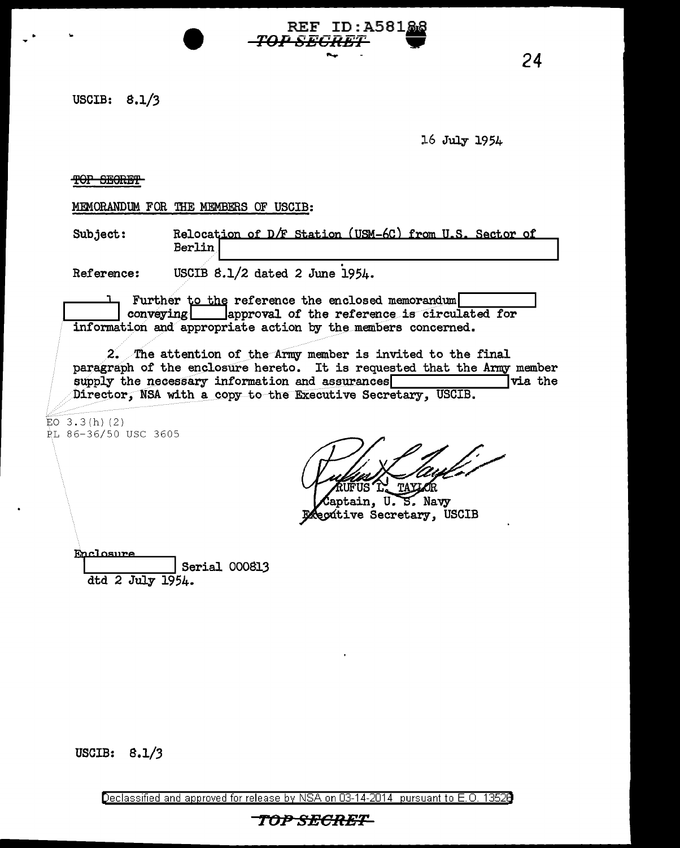USCIB:  $8.1/3$ 

16 July 1954

24

TOP SECRET

MEMORANDUM FOR THE MEMBERS OF USCIB:

Relocation of D/F Station (USM-6C) from U.S. Sector of Subject: Berlin

REF ID:A581

*TOP SECRET* 

USCIB 8.1/2 dated 2 June 1954. Reference:

Further to the reference the enclosed memorandum conveying approval of the reference is circulated for information and appropriate action by the members concerned.

2. The attention of the Army member is invited to the final paragraph of the enclosure hereto. It is requested that the Army member supply the necessary information and assurances via the Director, NSA with a copy to the Executive Secretary, USCIB.

EO  $3.3(h)$  (2)

PL 86-36/50 USC 3605

 $\mathbb{Z}^2$ TAYL

aptain, U.S. Navy Executive Secretary, USCIB

| Enclosure |                  |  |               |  |
|-----------|------------------|--|---------------|--|
|           |                  |  | Serial 000813 |  |
|           | dtd 2 July 1954. |  |               |  |

USCIB:  $8.1/3$ 

Declassified and approved for release by NSA on 03-14-2014 pursuant to E.O. 13528